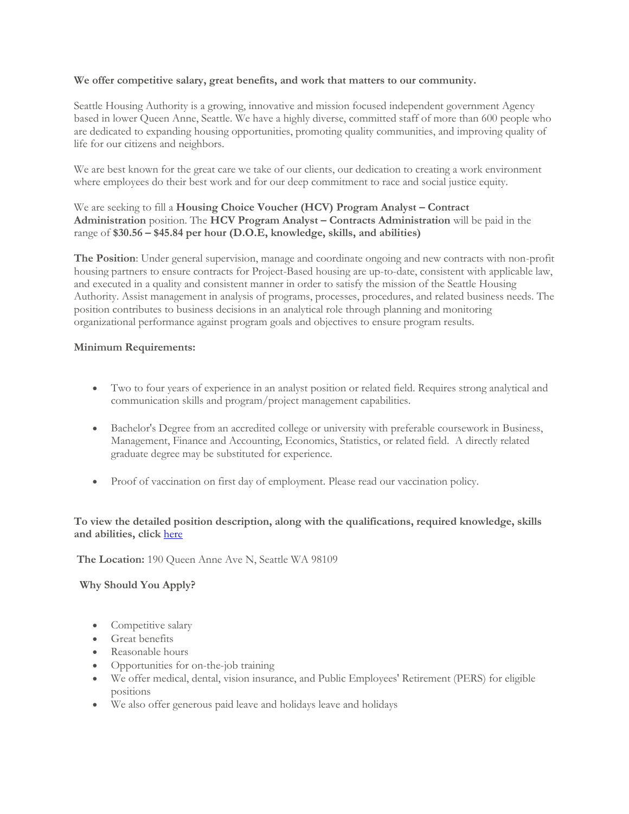## **We offer competitive salary, great benefits, and work that matters to our community.**

Seattle Housing Authority is a growing, innovative and mission focused independent government Agency based in lower Queen Anne, Seattle. We have a highly diverse, committed staff of more than 600 people who are dedicated to expanding housing opportunities, promoting quality communities, and improving quality of life for our citizens and neighbors.

We are best known for the great care we take of our clients, our dedication to creating a work environment where employees do their best work and for our deep commitment to race and social justice equity.

## We are seeking to fill a **Housing Choice Voucher (HCV) Program Analyst – Contract Administration** position. The **HCV Program Analyst – Contracts Administration** will be paid in the range of **\$30.56 – \$45.84 per hour (D.O.E, knowledge, skills, and abilities)**

**The Position**: Under general supervision, manage and coordinate ongoing and new contracts with non-profit housing partners to ensure contracts for Project-Based housing are up-to-date, consistent with applicable law, and executed in a quality and consistent manner in order to satisfy the mission of the Seattle Housing Authority. Assist management in analysis of programs, processes, procedures, and related business needs. The position contributes to business decisions in an analytical role through planning and monitoring organizational performance against program goals and objectives to ensure program results.

## **Minimum Requirements:**

- Two to four years of experience in an analyst position or related field. Requires strong analytical and communication skills and program/project management capabilities.
- Bachelor's Degree from an accredited college or university with preferable coursework in Business, Management, Finance and Accounting, Economics, Statistics, or related field. A directly related graduate degree may be substituted for experience.
- Proof of vaccination on first day of employment. Please read our vaccination policy.

## **To view the detailed position description, along with the qualifications, required knowledge, skills and abilities, click** [here](https://www.governmentjobs.com/careers/seattlehousing/classspecs/892900?keywords=PROAN&pagetype=classSpecifications)

**The Location:** 190 Queen Anne Ave N, Seattle WA 98109

**Why Should You Apply?**

- Competitive salary
- Great benefits
- Reasonable hours
- Opportunities for on-the-job training
- We offer medical, dental, vision insurance, and Public Employees' Retirement (PERS) for eligible positions
- We also offer generous paid leave and holidays leave and holidays